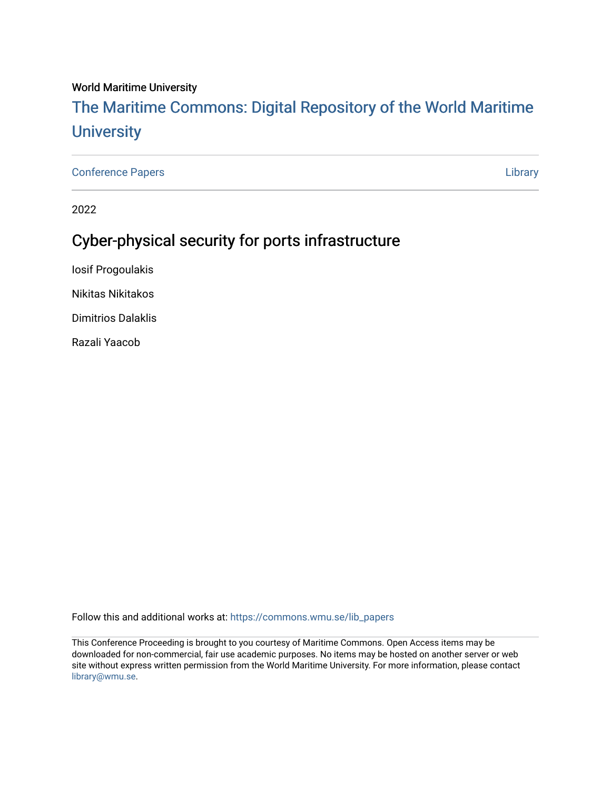#### World Maritime University

# [The Maritime Commons: Digital Repository of the World Maritime](https://commons.wmu.se/)  **University**

[Conference Papers](https://commons.wmu.se/lib_papers) [Library](https://commons.wmu.se/library) 

2022

## Cyber-physical security for ports infrastructure

Iosif Progoulakis

Nikitas Nikitakos

Dimitrios Dalaklis

Razali Yaacob

Follow this and additional works at: [https://commons.wmu.se/lib\\_papers](https://commons.wmu.se/lib_papers?utm_source=commons.wmu.se%2Flib_papers%2F10&utm_medium=PDF&utm_campaign=PDFCoverPages)

This Conference Proceeding is brought to you courtesy of Maritime Commons. Open Access items may be downloaded for non-commercial, fair use academic purposes. No items may be hosted on another server or web site without express written permission from the World Maritime University. For more information, please contact [library@wmu.se](mailto:library@wmu.edu).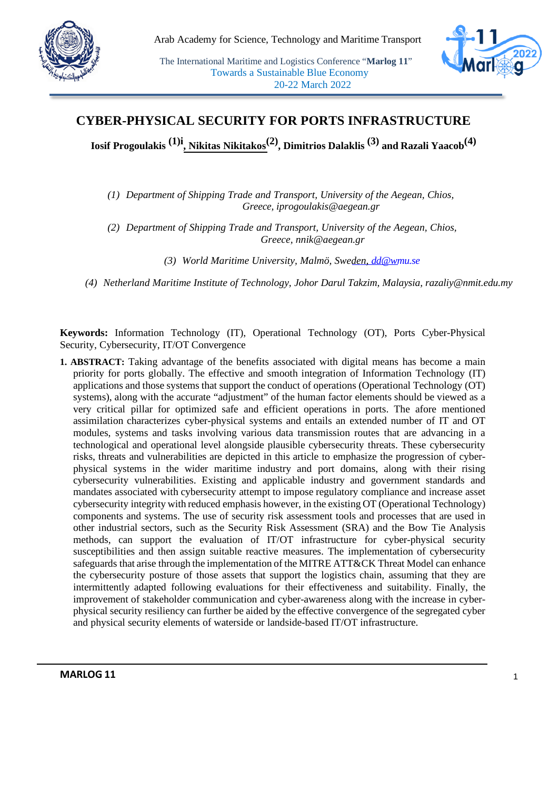



## **CYBER-PHYSICAL SECURITY FOR PORTS INFRASTRUCTURE**

**Iosif Progoulakis (1)i , Nikitas Nikitakos(2) , Dimitrios Dalaklis (3) and Razali Yaacob(4)**

*(1) Department of Shipping Trade and Transport, University of the Aegean, Chios, Greece, iprogoulakis@aegean.gr* 

*(2) Department of Shipping Trade and Transport, University of the Aegean, Chios, Greece, nnik@aegean.gr* 

*(3) World Maritime University, Malmö, Sw[eden, dd@wm](mailto:dd@wmu.se)u.se*

*(4) Netherland Maritime Institute of Technology, Johor Darul Takzim, Malaysia, razaliy@nmit.edu.my* 

**Keywords:** Information Technology (IT), Operational Technology (OT), Ports Cyber-Physical Security, Cybersecurity, IT/OT Convergence

**1. ABSTRACT:** Taking advantage of the benefits associated with digital means has become a main priority for ports globally. The effective and smooth integration of Information Technology (IT) applications and those systems that support the conduct of operations (Operational Technology (OT) systems), along with the accurate "adjustment" of the human factor elements should be viewed as a very critical pillar for optimized safe and efficient operations in ports. The afore mentioned assimilation characterizes cyber-physical systems and entails an extended number of IT and OT modules, systems and tasks involving various data transmission routes that are advancing in a technological and operational level alongside plausible cybersecurity threats. These cybersecurity risks, threats and vulnerabilities are depicted in this article to emphasize the progression of cyberphysical systems in the wider maritime industry and port domains, along with their rising cybersecurity vulnerabilities. Existing and applicable industry and government standards and mandates associated with cybersecurity attempt to impose regulatory compliance and increase asset cybersecurity integrity with reduced emphasis however, in the existing OT (Operational Technology) components and systems. The use of security risk assessment tools and processes that are used in other industrial sectors, such as the Security Risk Assessment (SRA) and the Bow Tie Analysis methods, can support the evaluation of IT/OT infrastructure for cyber-physical security susceptibilities and then assign suitable reactive measures. The implementation of cybersecurity safeguards that arise through the implementation of the MITRE ATT&CK Threat Model can enhance the cybersecurity posture of those assets that support the logistics chain, assuming that they are intermittently adapted following evaluations for their effectiveness and suitability. Finally, the improvement of stakeholder communication and cyber-awareness along with the increase in cyberphysical security resiliency can further be aided by the effective convergence of the segregated cyber and physical security elements of waterside or landside-based IT/OT infrastructure.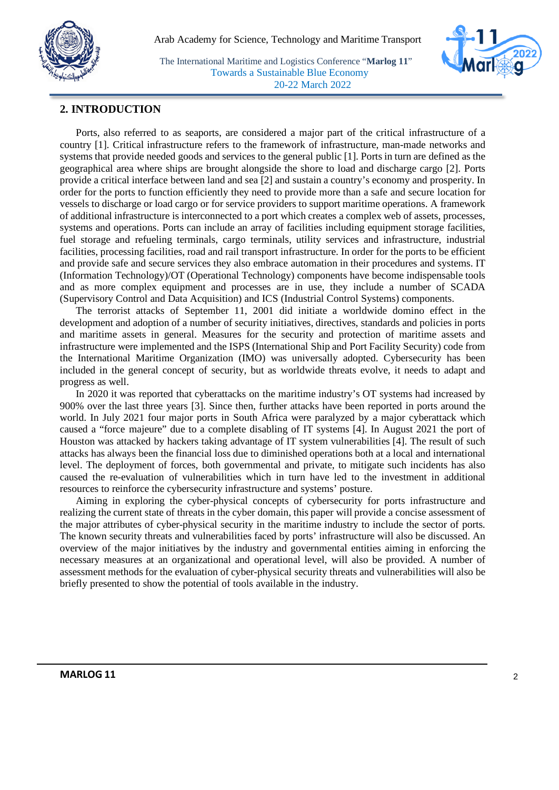



#### **2. INTRODUCTION**

Ports, also referred to as seaports, are considered a major part of the critical infrastructure of a country [1]. Critical infrastructure refers to the framework of infrastructure, man-made networks and systems that provide needed goods and services to the general public [1]. Ports in turn are defined as the geographical area where ships are brought alongside the shore to load and discharge cargo [2]. Ports provide a critical interface between land and sea [2] and sustain a country's economy and prosperity. In order for the ports to function efficiently they need to provide more than a safe and secure location for vessels to discharge or load cargo or for service providers to support maritime operations. A framework of additional infrastructure is interconnected to a port which creates a complex web of assets, processes, systems and operations. Ports can include an array of facilities including equipment storage facilities, fuel storage and refueling terminals, cargo terminals, utility services and infrastructure, industrial facilities, processing facilities, road and rail transport infrastructure. In order for the ports to be efficient and provide safe and secure services they also embrace automation in their procedures and systems. IT (Information Technology)/OT (Operational Technology) components have become indispensable tools and as more complex equipment and processes are in use, they include a number of SCADA (Supervisory Control and Data Acquisition) and ICS (Industrial Control Systems) components.

The terrorist attacks of September 11, 2001 did initiate a worldwide domino effect in the development and adoption of a number of security initiatives, directives, standards and policies in ports and maritime assets in general. Measures for the security and protection of maritime assets and infrastructure were implemented and the ISPS (International Ship and Port Facility Security) code from the International Maritime Organization (IMO) was universally adopted. Cybersecurity has been included in the general concept of security, but as worldwide threats evolve, it needs to adapt and progress as well.

In 2020 it was reported that cyberattacks on the maritime industry's OT systems had increased by 900% over the last three years [3]. Since then, further attacks have been reported in ports around the world. In July 2021 four major ports in South Africa were paralyzed by a major cyberattack which caused a "force majeure" due to a complete disabling of IT systems [4]. In August 2021 the port of Houston was attacked by hackers taking advantage of IT system vulnerabilities [4]. The result of such attacks has always been the financial loss due to diminished operations both at a local and international level. The deployment of forces, both governmental and private, to mitigate such incidents has also caused the re-evaluation of vulnerabilities which in turn have led to the investment in additional resources to reinforce the cybersecurity infrastructure and systems' posture.

Aiming in exploring the cyber-physical concepts of cybersecurity for ports infrastructure and realizing the current state of threats in the cyber domain, this paper will provide a concise assessment of the major attributes of cyber-physical security in the maritime industry to include the sector of ports. The known security threats and vulnerabilities faced by ports' infrastructure will also be discussed. An overview of the major initiatives by the industry and governmental entities aiming in enforcing the necessary measures at an organizational and operational level, will also be provided. A number of assessment methods for the evaluation of cyber-physical security threats and vulnerabilities will also be briefly presented to show the potential of tools available in the industry.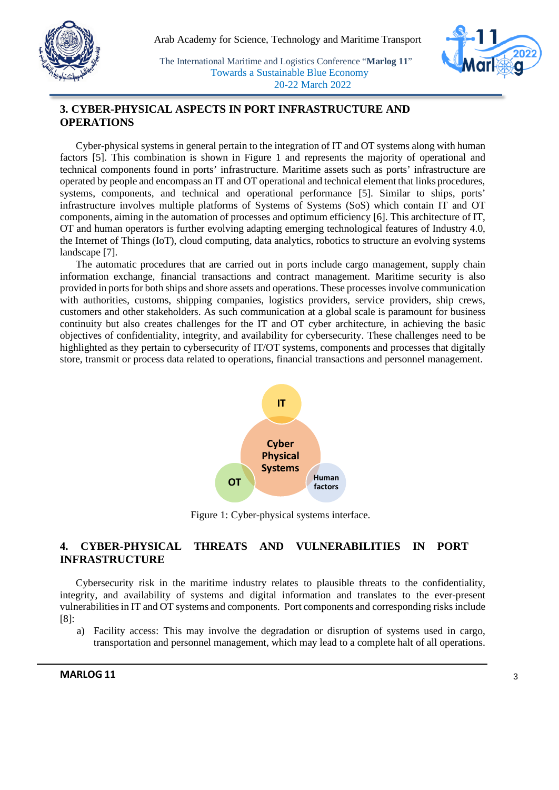



## **3. CYBER-PHYSICAL ASPECTS IN PORT INFRASTRUCTURE AND OPERATIONS**

Cyber-physical systems in general pertain to the integration of IT and OT systems along with human factors [5]. This combination is shown in Figure 1 and represents the majority of operational and technical components found in ports' infrastructure. Maritime assets such as ports' infrastructure are operated by people and encompass an IT and OT operational and technical element that links procedures, systems, components, and technical and operational performance [5]. Similar to ships, ports' infrastructure involves multiple platforms of Systems of Systems (SoS) which contain IT and OT components, aiming in the automation of processes and optimum efficiency [6]. This architecture of IT, OT and human operators is further evolving adapting emerging technological features of Industry 4.0, the Internet of Things (IoT), cloud computing, data analytics, robotics to structure an evolving systems landscape [7].

The automatic procedures that are carried out in ports include cargo management, supply chain information exchange, financial transactions and contract management. Maritime security is also provided in ports for both ships and shore assets and operations. These processes involve communication with authorities, customs, shipping companies, logistics providers, service providers, ship crews, customers and other stakeholders. As such communication at a global scale is paramount for business continuity but also creates challenges for the IT and OT cyber architecture, in achieving the basic objectives of confidentiality, integrity, and availability for cybersecurity. These challenges need to be highlighted as they pertain to cybersecurity of IT/OT systems, components and processes that digitally store, transmit or process data related to operations, financial transactions and personnel management.



Figure 1: Cyber-physical systems interface.

## **4. CYBER-PHYSICAL THREATS AND VULNERABILITIES IN PORT INFRASTRUCTURE**

Cybersecurity risk in the maritime industry relates to plausible threats to the confidentiality, integrity, and availability of systems and digital information and translates to the ever-present vulnerabilities in IT and OT systems and components. Port components and corresponding risks include [8]:

a) Facility access: This may involve the degradation or disruption of systems used in cargo, transportation and personnel management, which may lead to a complete halt of all operations.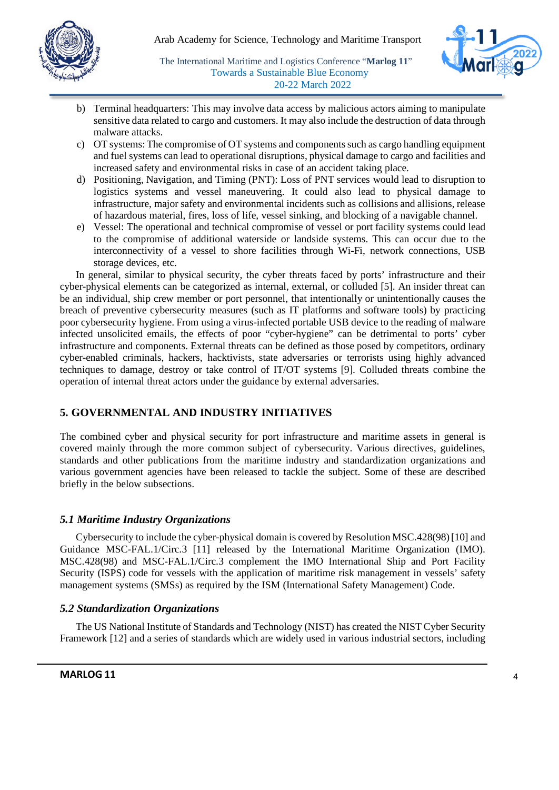



- b) Terminal headquarters: This may involve data access by malicious actors aiming to manipulate sensitive data related to cargo and customers. It may also include the destruction of data through malware attacks.
- c) OT systems: The compromise of OT systems and components such as cargo handling equipment and fuel systems can lead to operational disruptions, physical damage to cargo and facilities and increased safety and environmental risks in case of an accident taking place.
- d) Positioning, Navigation, and Timing (PNT): Loss of PNT services would lead to disruption to logistics systems and vessel maneuvering. It could also lead to physical damage to infrastructure, major safety and environmental incidents such as collisions and allisions, release of hazardous material, fires, loss of life, vessel sinking, and blocking of a navigable channel.
- e) Vessel: The operational and technical compromise of vessel or port facility systems could lead to the compromise of additional waterside or landside systems. This can occur due to the interconnectivity of a vessel to shore facilities through Wi-Fi, network connections, USB storage devices, etc.

In general, similar to physical security, the cyber threats faced by ports' infrastructure and their cyber-physical elements can be categorized as internal, external, or colluded [5]. An insider threat can be an individual, ship crew member or port personnel, that intentionally or unintentionally causes the breach of preventive cybersecurity measures (such as IT platforms and software tools) by practicing poor cybersecurity hygiene. From using a virus-infected portable USB device to the reading of malware infected unsolicited emails, the effects of poor "cyber-hygiene" can be detrimental to ports' cyber infrastructure and components. External threats can be defined as those posed by competitors, ordinary cyber-enabled criminals, hackers, hacktivists, state adversaries or terrorists using highly advanced techniques to damage, destroy or take control of IT/OT systems [9]. Colluded threats combine the operation of internal threat actors under the guidance by external adversaries.

## **5. GOVERNMENTAL AND INDUSTRY INITIATIVES**

The combined cyber and physical security for port infrastructure and maritime assets in general is covered mainly through the more common subject of cybersecurity. Various directives, guidelines, standards and other publications from the maritime industry and standardization organizations and various government agencies have been released to tackle the subject. Some of these are described briefly in the below subsections.

#### *5.1 Maritime Industry Organizations*

Cybersecurity to include the cyber-physical domain is covered by Resolution MSC.428(98) [10] and Guidance MSC-FAL.1/Circ.3 [11] released by the International Maritime Organization (IMO). MSC.428(98) and MSC-FAL.1/Circ.3 complement the IMO International Ship and Port Facility Security (ISPS) code for vessels with the application of maritime risk management in vessels' safety management systems (SMSs) as required by the ISM (International Safety Management) Code.

#### *5.2 Standardization Organizations*

The US National Institute of Standards and Technology (NIST) has created the NIST Cyber Security Framework [12] and a series of standards which are widely used in various industrial sectors, including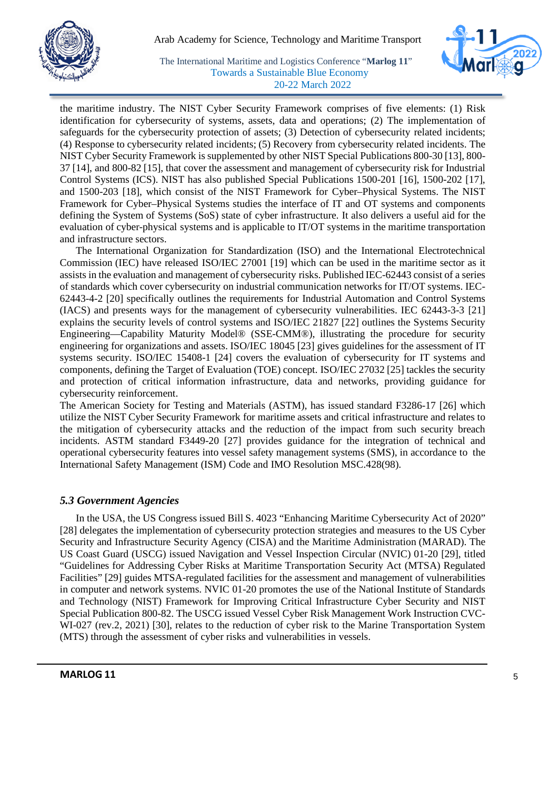



the maritime industry. The NIST Cyber Security Framework comprises of five elements: (1) Risk identification for cybersecurity of systems, assets, data and operations; (2) The implementation of safeguards for the cybersecurity protection of assets; (3) Detection of cybersecurity related incidents; (4) Response to cybersecurity related incidents; (5) Recovery from cybersecurity related incidents. The NIST Cyber Security Framework is supplemented by other NIST Special Publications 800-30 [13], 800- 37 [14], and 800-82 [15], that cover the assessment and management of cybersecurity risk for Industrial Control Systems (ICS). NIST has also published Special Publications 1500-201 [16], 1500-202 [17], and 1500-203 [18], which consist of the NIST Framework for Cyber–Physical Systems. The NIST Framework for Cyber–Physical Systems studies the interface of IT and OT systems and components defining the System of Systems (SoS) state of cyber infrastructure. It also delivers a useful aid for the evaluation of cyber-physical systems and is applicable to IT/OT systems in the maritime transportation and infrastructure sectors.

The International Organization for Standardization (ISO) and the International Electrotechnical Commission (IEC) have released ISO/IEC 27001 [19] which can be used in the maritime sector as it assists in the evaluation and management of cybersecurity risks. Published IEC-62443 consist of a series of standards which cover cybersecurity on industrial communication networks for IT/OT systems. IEC-62443-4-2 [20] specifically outlines the requirements for Industrial Automation and Control Systems (IACS) and presents ways for the management of cybersecurity vulnerabilities. IEC 62443-3-3 [21] explains the security levels of control systems and ISO/IEC 21827 [22] outlines the Systems Security Engineering—Capability Maturity Model® (SSE-CMM®), illustrating the procedure for security engineering for organizations and assets. ISO/IEC 18045 [23] gives guidelines for the assessment of IT systems security. ISO/IEC 15408-1 [24] covers the evaluation of cybersecurity for IT systems and components, defining the Target of Evaluation (TOE) concept. ISO/IEC 27032 [25] tackles the security and protection of critical information infrastructure, data and networks, providing guidance for cybersecurity reinforcement.

The American Society for Testing and Materials (ASTM), has issued standard F3286-17 [26] which utilize the NIST Cyber Security Framework for maritime assets and critical infrastructure and relates to the mitigation of cybersecurity attacks and the reduction of the impact from such security breach incidents. ASTM standard F3449-20 [27] provides guidance for the integration of technical and operational cybersecurity features into vessel safety management systems (SMS), in accordance to the International Safety Management (ISM) Code and IMO Resolution MSC.428(98).

#### *5.3 Government Agencies*

In the USA, the US Congress issued Bill S. 4023 "Enhancing Maritime Cybersecurity Act of 2020" [28] delegates the implementation of cybersecurity protection strategies and measures to the US Cyber Security and Infrastructure Security Agency (CISA) and the Maritime Administration (MARAD). The US Coast Guard (USCG) issued Navigation and Vessel Inspection Circular (NVIC) 01-20 [29], titled "Guidelines for Addressing Cyber Risks at Maritime Transportation Security Act (MTSA) Regulated Facilities" [29] guides MTSA-regulated facilities for the assessment and management of vulnerabilities in computer and network systems. NVIC 01-20 promotes the use of the National Institute of Standards and Technology (NIST) Framework for Improving Critical Infrastructure Cyber Security and NIST Special Publication 800-82. The USCG issued Vessel Cyber Risk Management Work Instruction CVC-WI-027 (rev.2, 2021) [30], relates to the reduction of cyber risk to the Marine Transportation System (MTS) through the assessment of cyber risks and vulnerabilities in vessels.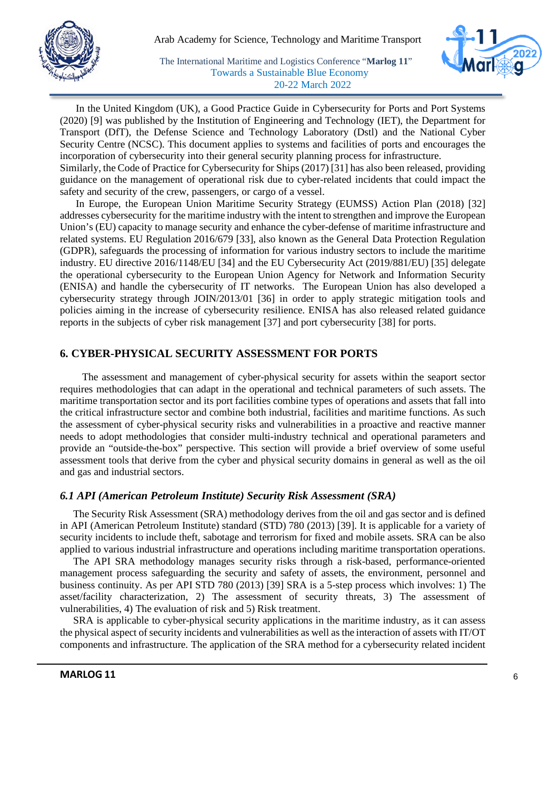



In the United Kingdom (UK), a Good Practice Guide in Cybersecurity for Ports and Port Systems (2020) [9] was published by the Institution of Engineering and Technology (IET), the Department for Transport (DfT), the Defense Science and Technology Laboratory (Dstl) and the National Cyber Security Centre (NCSC). This document applies to systems and facilities of ports and encourages the incorporation of cybersecurity into their general security planning process for infrastructure.

Similarly, the Code of Practice for Cybersecurity for Ships (2017) [31] has also been released, providing guidance on the management of operational risk due to cyber-related incidents that could impact the safety and security of the crew, passengers, or cargo of a vessel.

In Europe, the European Union Maritime Security Strategy (EUMSS) Action Plan (2018) [32] addresses cybersecurity for the maritime industry with the intent to strengthen and improve the European Union's (EU) capacity to manage security and enhance the cyber-defense of maritime infrastructure and related systems. EU Regulation 2016/679 [33], also known as the General Data Protection Regulation (GDPR), safeguards the processing of information for various industry sectors to include the maritime industry. EU directive 2016/1148/EU [34] and the EU Cybersecurity Act (2019/881/EU) [35] delegate the operational cybersecurity to the European Union Agency for Network and Information Security (ENISA) and handle the cybersecurity of IT networks. The European Union has also developed a cybersecurity strategy through JOIN/2013/01 [36] in order to apply strategic mitigation tools and policies aiming in the increase of cybersecurity resilience. ENISA has also released related guidance reports in the subjects of cyber risk management [37] and port cybersecurity [38] for ports.

#### **6. CYBER-PHYSICAL SECURITY ASSESSMENT FOR PORTS**

 The assessment and management of cyber-physical security for assets within the seaport sector requires methodologies that can adapt in the operational and technical parameters of such assets. The maritime transportation sector and its port facilities combine types of operations and assets that fall into the critical infrastructure sector and combine both industrial, facilities and maritime functions. As such the assessment of cyber-physical security risks and vulnerabilities in a proactive and reactive manner needs to adopt methodologies that consider multi-industry technical and operational parameters and provide an "outside-the-box" perspective. This section will provide a brief overview of some useful assessment tools that derive from the cyber and physical security domains in general as well as the oil and gas and industrial sectors.

#### *6.1 API (American Petroleum Institute) Security Risk Assessment (SRA)*

The Security Risk Assessment (SRA) methodology derives from the oil and gas sector and is defined in API (American Petroleum Institute) standard (STD) 780 (2013) [39]. It is applicable for a variety of security incidents to include theft, sabotage and terrorism for fixed and mobile assets. SRA can be also applied to various industrial infrastructure and operations including maritime transportation operations.

The API SRA methodology manages security risks through a risk-based, performance-oriented management process safeguarding the security and safety of assets, the environment, personnel and business continuity. As per API STD 780 (2013) [39] SRA is a 5-step process which involves: 1) The asset/facility characterization, 2) The assessment of security threats, 3) The assessment of vulnerabilities, 4) The evaluation of risk and 5) Risk treatment.

SRA is applicable to cyber-physical security applications in the maritime industry, as it can assess the physical aspect of security incidents and vulnerabilities as well as the interaction of assets with IT/OT components and infrastructure. The application of the SRA method for a cybersecurity related incident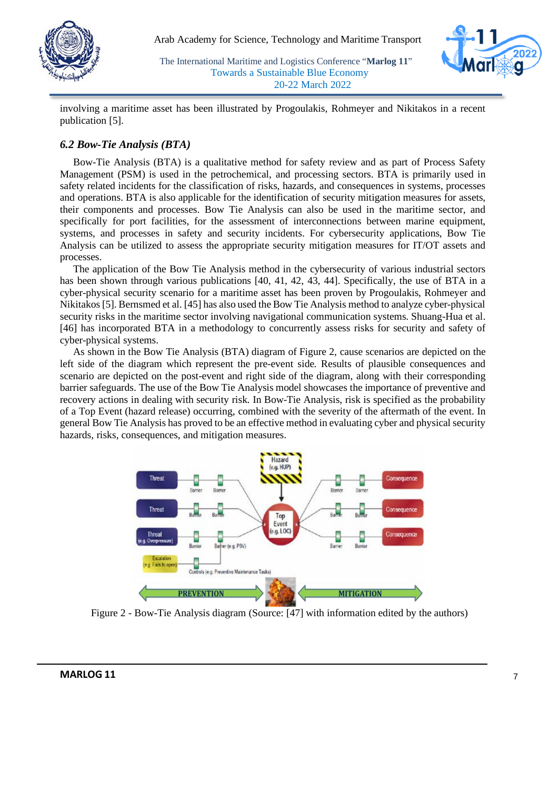



involving a maritime asset has been illustrated by Progoulakis, Rohmeyer and Nikitakos in a recent publication [5].

## *6.2 Bow-Tie Analysis (BTA)*

Bow-Tie Analysis (BTA) is a qualitative method for safety review and as part of Process Safety Management (PSM) is used in the petrochemical, and processing sectors. BTA is primarily used in safety related incidents for the classification of risks, hazards, and consequences in systems, processes and operations. BTA is also applicable for the identification of security mitigation measures for assets, their components and processes. Bow Tie Analysis can also be used in the maritime sector, and specifically for port facilities, for the assessment of interconnections between marine equipment, systems, and processes in safety and security incidents. For cybersecurity applications, Bow Tie Analysis can be utilized to assess the appropriate security mitigation measures for IT/OT assets and processes.

The application of the Bow Tie Analysis method in the cybersecurity of various industrial sectors has been shown through various publications [40, 41, 42, 43, 44]. Specifically, the use of BTA in a cyber-physical security scenario for a maritime asset has been proven by Progoulakis, Rohmeyer and Nikitakos [5]. Bernsmed et al. [45] has also used the Bow Tie Analysis method to analyze cyber-physical security risks in the maritime sector involving navigational communication systems. Shuang-Hua et al. [46] has incorporated BTA in a methodology to concurrently assess risks for security and safety of cyber-physical systems.

As shown in the Bow Tie Analysis (BTA) diagram of Figure 2, cause scenarios are depicted on the left side of the diagram which represent the pre-event side. Results of plausible consequences and scenario are depicted on the post-event and right side of the diagram, along with their corresponding barrier safeguards. The use of the Bow Tie Analysis model showcases the importance of preventive and recovery actions in dealing with security risk. In Bow-Tie Analysis, risk is specified as the probability of a Top Event (hazard release) occurring, combined with the severity of the aftermath of the event. In general Bow Tie Analysis has proved to be an effective method in evaluating cyber and physical security hazards, risks, consequences, and mitigation measures.



Figure 2 - Bow-Tie Analysis diagram (Source: [47] with information edited by the authors)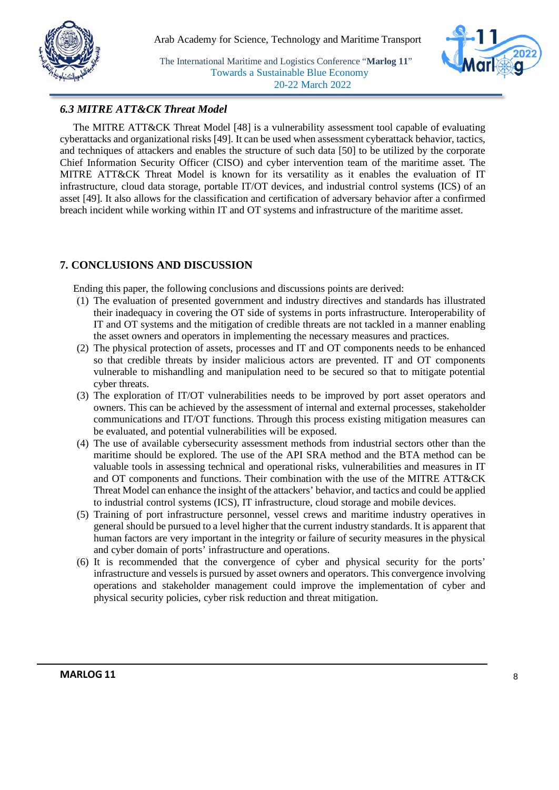



## *6.3 MITRE ATT&CK Threat Model*

The MITRE ATT&CK Threat Model [48] is a vulnerability assessment tool capable of evaluating cyberattacks and organizational risks [49]. It can be used when assessment cyberattack behavior, tactics, and techniques of attackers and enables the structure of such data [50] to be utilized by the corporate Chief Information Security Officer (CISO) and cyber intervention team of the maritime asset. The MITRE ATT&CK Threat Model is known for its versatility as it enables the evaluation of IT infrastructure, cloud data storage, portable IT/OT devices, and industrial control systems (ICS) of an asset [49]. It also allows for the classification and certification of adversary behavior after a confirmed breach incident while working within IT and OT systems and infrastructure of the maritime asset.

#### **7. CONCLUSIONS AND DISCUSSION**

Ending this paper, the following conclusions and discussions points are derived:

- (1) The evaluation of presented government and industry directives and standards has illustrated their inadequacy in covering the OT side of systems in ports infrastructure. Interoperability of IT and OT systems and the mitigation of credible threats are not tackled in a manner enabling the asset owners and operators in implementing the necessary measures and practices.
- (2) The physical protection of assets, processes and IT and OT components needs to be enhanced so that credible threats by insider malicious actors are prevented. IT and OT components vulnerable to mishandling and manipulation need to be secured so that to mitigate potential cyber threats.
- (3) The exploration of IT/OT vulnerabilities needs to be improved by port asset operators and owners. This can be achieved by the assessment of internal and external processes, stakeholder communications and IT/OT functions. Through this process existing mitigation measures can be evaluated, and potential vulnerabilities will be exposed.
- (4) The use of available cybersecurity assessment methods from industrial sectors other than the maritime should be explored. The use of the API SRA method and the BTA method can be valuable tools in assessing technical and operational risks, vulnerabilities and measures in IT and OT components and functions. Their combination with the use of the MITRE ATT&CK Threat Model can enhance the insight of the attackers' behavior, and tactics and could be applied to industrial control systems (ICS), IT infrastructure, cloud storage and mobile devices.
- (5) Training of port infrastructure personnel, vessel crews and maritime industry operatives in general should be pursued to a level higher that the current industry standards. It is apparent that human factors are very important in the integrity or failure of security measures in the physical and cyber domain of ports' infrastructure and operations.
- (6) It is recommended that the convergence of cyber and physical security for the ports' infrastructure and vessels is pursued by asset owners and operators. This convergence involving operations and stakeholder management could improve the implementation of cyber and physical security policies, cyber risk reduction and threat mitigation.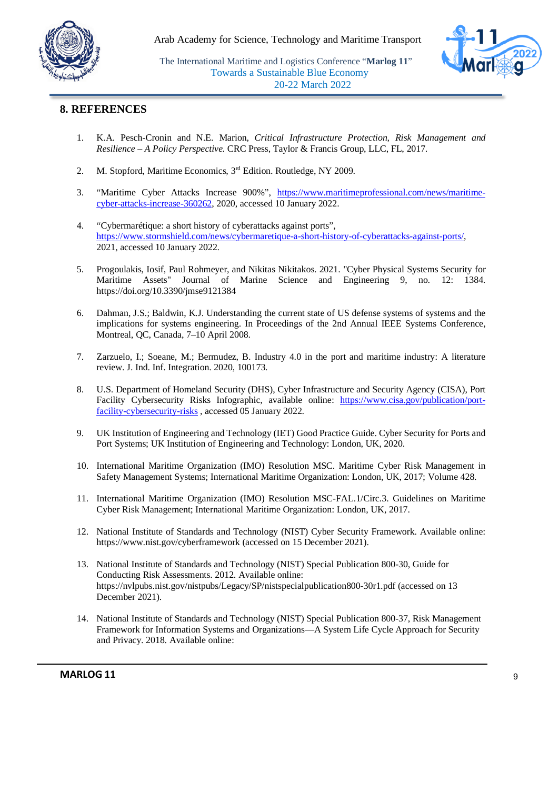



#### **8. REFERENCES**

- 1. K.A. Pesch-Cronin and N.E. Marion, *Critical Infrastructure Protection, Risk Management and Resilience – A Policy Perspective.* CRC Press, Taylor & Francis Group, LLC, FL, 2017.
- 2. M. Stopford, Maritime Economics, 3<sup>rd</sup> Edition. Routledge, NY 2009.
- 3. "Maritime Cyber Attacks Increase 900%", [https://www.maritimeprofessional.com/news/maritime](https://www.maritimeprofessional.com/news/maritime-cyber-attacks-increase-360262)[cyber-attacks-increase-360262,](https://www.maritimeprofessional.com/news/maritime-cyber-attacks-increase-360262) 2020, accessed 10 January 2022.
- 4. "Cybermarétique: a short history of cyberattacks against ports", [https://www.stormshield.com/news/cybermaretique-a-short-history-of-cyberattacks-against-ports/,](https://www.stormshield.com/news/cybermaretique-a-short-history-of-cyberattacks-against-ports/) 2021, accessed 10 January 2022.
- 5. Progoulakis, Iosif, Paul Rohmeyer, and Nikitas Nikitakos. 2021. "Cyber Physical Systems Security for Maritime Assets" Journal of Marine Science and Engineering 9, no. 12: 1384. https://doi.org/10.3390/jmse9121384
- 6. Dahman, J.S.; Baldwin, K.J. Understanding the current state of US defense systems of systems and the implications for systems engineering. In Proceedings of the 2nd Annual IEEE Systems Conference, Montreal, QC, Canada, 7–10 April 2008.
- 7. Zarzuelo, I.; Soeane, M.; Bermudez, B. Industry 4.0 in the port and maritime industry: A literature review. J. Ind. Inf. Integration. 2020, 100173.
- 8. U.S. Department of Homeland Security (DHS), Cyber Infrastructure and Security Agency (CISA), Port Facility Cybersecurity Risks Infographic, available online: [https://www.cisa.gov/publication/port](https://www.cisa.gov/publication/port-facility-cybersecurity-risks)[facility-cybersecurity-risks](https://www.cisa.gov/publication/port-facility-cybersecurity-risks) , accessed 05 January 2022.
- 9. UK Institution of Engineering and Technology (IET) Good Practice Guide. Cyber Security for Ports and Port Systems; UK Institution of Engineering and Technology: London, UK, 2020.
- 10. International Maritime Organization (IMO) Resolution MSC. Maritime Cyber Risk Management in Safety Management Systems; International Maritime Organization: London, UK, 2017; Volume 428.
- 11. International Maritime Organization (IMO) Resolution MSC-FAL.1/Circ.3. Guidelines on Maritime Cyber Risk Management; International Maritime Organization: London, UK, 2017.
- 12. National Institute of Standards and Technology (NIST) Cyber Security Framework. Available online: https://www.nist.gov/cyberframework (accessed on 15 December 2021).
- 13. National Institute of Standards and Technology (NIST) Special Publication 800-30, Guide for Conducting Risk Assessments. 2012. Available online: https://nvlpubs.nist.gov/nistpubs/Legacy/SP/nistspecialpublication800-30r1.pdf (accessed on 13 December 2021).
- 14. National Institute of Standards and Technology (NIST) Special Publication 800-37, Risk Management Framework for Information Systems and Organizations—A System Life Cycle Approach for Security and Privacy. 2018. Available online: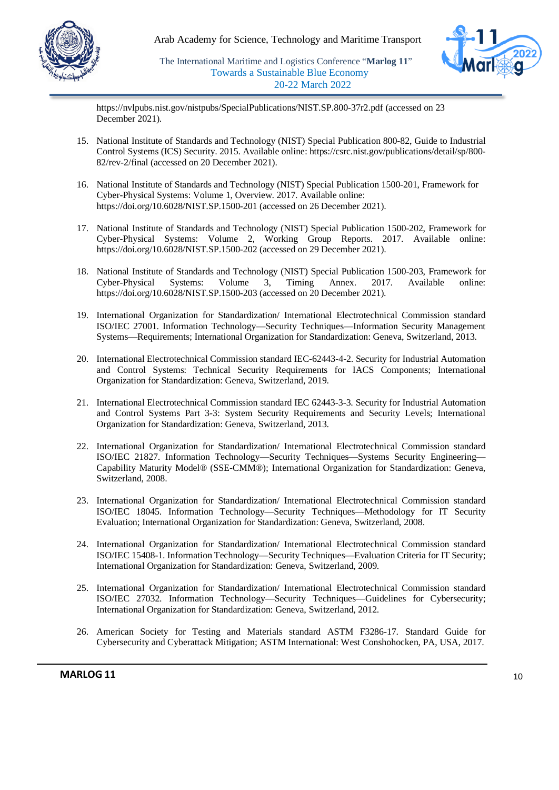



https://nvlpubs.nist.gov/nistpubs/SpecialPublications/NIST.SP.800-37r2.pdf (accessed on 23 December 2021).

- 15. National Institute of Standards and Technology (NIST) Special Publication 800-82, Guide to Industrial Control Systems (ICS) Security. 2015. Available online: https://csrc.nist.gov/publications/detail/sp/800- 82/rev-2/final (accessed on 20 December 2021).
- 16. National Institute of Standards and Technology (NIST) Special Publication 1500-201, Framework for Cyber-Physical Systems: Volume 1, Overview. 2017. Available online: https://doi.org/10.6028/NIST.SP.1500-201 (accessed on 26 December 2021).
- 17. National Institute of Standards and Technology (NIST) Special Publication 1500-202, Framework for Cyber-Physical Systems: Volume 2, Working Group Reports. 2017. Available online: https://doi.org/10.6028/NIST.SP.1500-202 (accessed on 29 December 2021).
- 18. National Institute of Standards and Technology (NIST) Special Publication 1500-203, Framework for Cyber-Physical Systems: Volume 3, Timing Annex. 2017. Available online: https://doi.org/10.6028/NIST.SP.1500-203 (accessed on 20 December 2021).
- 19. International Organization for Standardization/ International Electrotechnical Commission standard ISO/IEC 27001. Information Technology—Security Techniques—Information Security Management Systems—Requirements; International Organization for Standardization: Geneva, Switzerland, 2013.
- 20. International Electrotechnical Commission standard IEC-62443-4-2. Security for Industrial Automation and Control Systems: Technical Security Requirements for IACS Components; International Organization for Standardization: Geneva, Switzerland, 2019.
- 21. International Electrotechnical Commission standard IEC 62443-3-3. Security for Industrial Automation and Control Systems Part 3-3: System Security Requirements and Security Levels; International Organization for Standardization: Geneva, Switzerland, 2013.
- 22. International Organization for Standardization/ International Electrotechnical Commission standard ISO/IEC 21827. Information Technology—Security Techniques—Systems Security Engineering— Capability Maturity Model® (SSE-CMM®); International Organization for Standardization: Geneva, Switzerland, 2008.
- 23. International Organization for Standardization/ International Electrotechnical Commission standard ISO/IEC 18045. Information Technology—Security Techniques—Methodology for IT Security Evaluation; International Organization for Standardization: Geneva, Switzerland, 2008.
- 24. International Organization for Standardization/ International Electrotechnical Commission standard ISO/IEC 15408-1. Information Technology—Security Techniques—Evaluation Criteria for IT Security; International Organization for Standardization: Geneva, Switzerland, 2009.
- 25. International Organization for Standardization/ International Electrotechnical Commission standard ISO/IEC 27032. Information Technology—Security Techniques—Guidelines for Cybersecurity; International Organization for Standardization: Geneva, Switzerland, 2012.
- 26. American Society for Testing and Materials standard ASTM F3286-17. Standard Guide for Cybersecurity and Cyberattack Mitigation; ASTM International: West Conshohocken, PA, USA, 2017.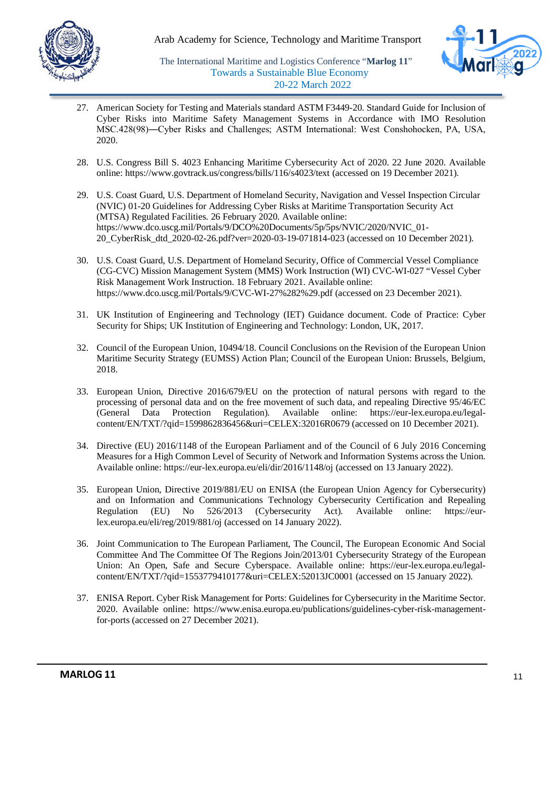



- 27. American Society for Testing and Materials standard ASTM F3449-20. Standard Guide for Inclusion of Cyber Risks into Maritime Safety Management Systems in Accordance with IMO Resolution MSC.428(98)―Cyber Risks and Challenges; ASTM International: West Conshohocken, PA, USA, 2020.
- 28. U.S. Congress Bill S. 4023 Enhancing Maritime Cybersecurity Act of 2020. 22 June 2020. Available online: https://www.govtrack.us/congress/bills/116/s4023/text (accessed on 19 December 2021).
- 29. U.S. Coast Guard, U.S. Department of Homeland Security, Navigation and Vessel Inspection Circular (NVIC) 01-20 Guidelines for Addressing Cyber Risks at Maritime Transportation Security Act (MTSA) Regulated Facilities. 26 February 2020. Available online: https://www.dco.uscg.mil/Portals/9/DCO%20Documents/5p/5ps/NVIC/2020/NVIC\_01- 20\_CyberRisk\_dtd\_2020-02-26.pdf?ver=2020-03-19-071814-023 (accessed on 10 December 2021).
- 30. U.S. Coast Guard, U.S. Department of Homeland Security, Office of Commercial Vessel Compliance (CG-CVC) Mission Management System (MMS) Work Instruction (WI) CVC-WI-027 "Vessel Cyber Risk Management Work Instruction. 18 February 2021. Available online: https://www.dco.uscg.mil/Portals/9/CVC-WI-27%282%29.pdf (accessed on 23 December 2021).
- 31. UK Institution of Engineering and Technology (IET) Guidance document. Code of Practice: Cyber Security for Ships; UK Institution of Engineering and Technology: London, UK, 2017.
- 32. Council of the European Union, 10494/18. Council Conclusions on the Revision of the European Union Maritime Security Strategy (EUMSS) Action Plan; Council of the European Union: Brussels, Belgium, 2018.
- 33. European Union, Directive 2016/679/EU on the protection of natural persons with regard to the processing of personal data and on the free movement of such data, and repealing Directive 95/46/EC (General Data Protection Regulation). Available online: https://eur-lex.europa.eu/legalcontent/EN/TXT/?qid=1599862836456&uri=CELEX:32016R0679 (accessed on 10 December 2021).
- 34. Directive (EU) 2016/1148 of the European Parliament and of the Council of 6 July 2016 Concerning Measures for a High Common Level of Security of Network and Information Systems across the Union. Available online: https://eur-lex.europa.eu/eli/dir/2016/1148/oj (accessed on 13 January 2022).
- 35. European Union, Directive 2019/881/EU on ENISA (the European Union Agency for Cybersecurity) and on Information and Communications Technology Cybersecurity Certification and Repealing Regulation (EU) No 526/2013 (Cybersecurity Act). Available online: https://eurlex.europa.eu/eli/reg/2019/881/oj (accessed on 14 January 2022).
- 36. Joint Communication to The European Parliament, The Council, The European Economic And Social Committee And The Committee Of The Regions Join/2013/01 Cybersecurity Strategy of the European Union: An Open, Safe and Secure Cyberspace. Available online: https://eur-lex.europa.eu/legalcontent/EN/TXT/?qid=1553779410177&uri=CELEX:52013JC0001 (accessed on 15 January 2022).
- 37. ENISA Report. Cyber Risk Management for Ports: Guidelines for Cybersecurity in the Maritime Sector. 2020. Available online: https://www.enisa.europa.eu/publications/guidelines-cyber-risk-managementfor-ports (accessed on 27 December 2021).